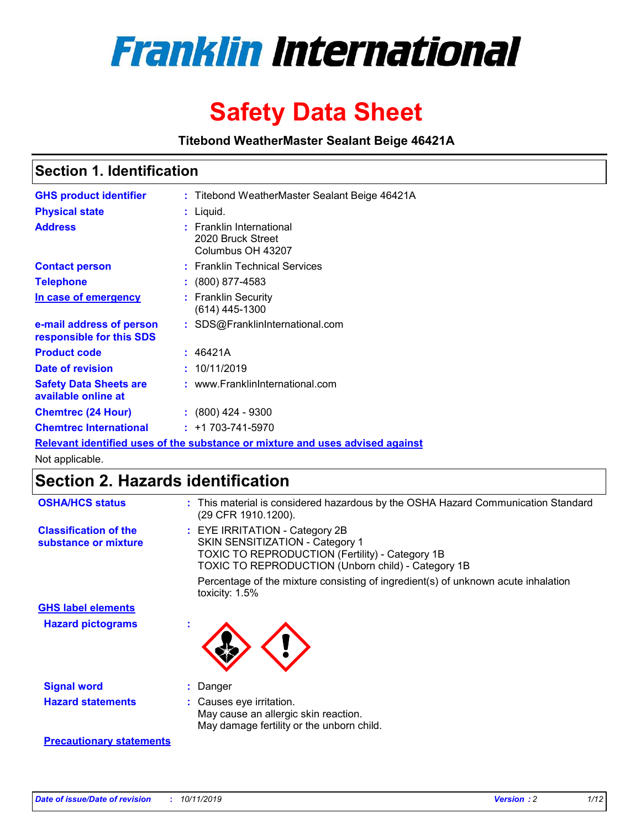

# **Safety Data Sheet**

**Titebond WeatherMaster Sealant Beige 46421A**

### **Section 1. Identification**

| <b>GHS product identifier</b>                        | : Titebond WeatherMaster Sealant Beige 46421A                                 |
|------------------------------------------------------|-------------------------------------------------------------------------------|
| <b>Physical state</b>                                | : Liquid.                                                                     |
| <b>Address</b>                                       | : Franklin International<br>2020 Bruck Street<br>Columbus OH 43207            |
| <b>Contact person</b>                                | : Franklin Technical Services                                                 |
| <b>Telephone</b>                                     | : (800) 877-4583                                                              |
| In case of emergency                                 | : Franklin Security<br>$(614)$ 445-1300                                       |
| e-mail address of person<br>responsible for this SDS | : SDS@FranklinInternational.com                                               |
| <b>Product code</b>                                  | : 46421A                                                                      |
| Date of revision                                     | : 10/11/2019                                                                  |
| <b>Safety Data Sheets are</b><br>available online at | : www.FranklinInternational.com                                               |
| <b>Chemtrec (24 Hour)</b>                            | $\div$ (800) 424 - 9300                                                       |
| <b>Chemtrec International</b>                        | $: +1703 - 741 - 5970$                                                        |
|                                                      | Relevant identified uses of the substance or mixture and uses advised against |

Not applicable.

## **Section 2. Hazards identification**

| <b>OSHA/HCS status</b>                               | : This material is considered hazardous by the OSHA Hazard Communication Standard<br>(29 CFR 1910.1200).                                                                                 |
|------------------------------------------------------|------------------------------------------------------------------------------------------------------------------------------------------------------------------------------------------|
| <b>Classification of the</b><br>substance or mixture | : EYE IRRITATION - Category 2B<br>SKIN SENSITIZATION - Category 1<br><b>TOXIC TO REPRODUCTION (Fertility) - Category 1B</b><br><b>TOXIC TO REPRODUCTION (Unborn child) - Category 1B</b> |
|                                                      | Percentage of the mixture consisting of ingredient(s) of unknown acute inhalation<br>toxicity: $1.5\%$                                                                                   |
| <b>GHS label elements</b>                            |                                                                                                                                                                                          |
| <b>Hazard pictograms</b>                             |                                                                                                                                                                                          |
| <b>Signal word</b>                                   | : Danger                                                                                                                                                                                 |
| <b>Hazard statements</b>                             | : Causes eye irritation.<br>May cause an allergic skin reaction.<br>May damage fertility or the unborn child.                                                                            |
| <b>Precautionary statements</b>                      |                                                                                                                                                                                          |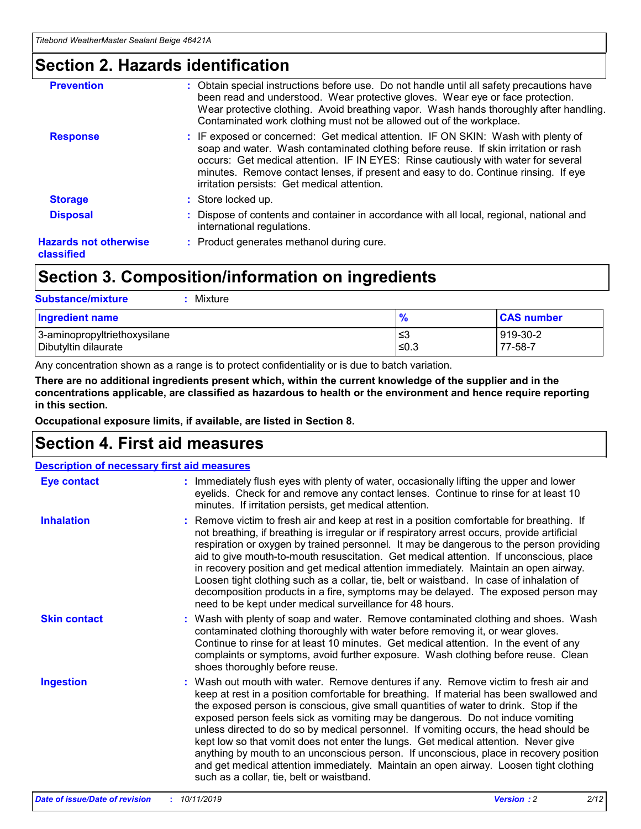### **Section 2. Hazards identification**

| <b>Prevention</b>                          | : Obtain special instructions before use. Do not handle until all safety precautions have<br>been read and understood. Wear protective gloves. Wear eye or face protection.<br>Wear protective clothing. Avoid breathing vapor. Wash hands thoroughly after handling.<br>Contaminated work clothing must not be allowed out of the workplace.                                                        |
|--------------------------------------------|------------------------------------------------------------------------------------------------------------------------------------------------------------------------------------------------------------------------------------------------------------------------------------------------------------------------------------------------------------------------------------------------------|
| <b>Response</b>                            | : IF exposed or concerned: Get medical attention. IF ON SKIN: Wash with plenty of<br>soap and water. Wash contaminated clothing before reuse. If skin irritation or rash<br>occurs: Get medical attention. IF IN EYES: Rinse cautiously with water for several<br>minutes. Remove contact lenses, if present and easy to do. Continue rinsing. If eye<br>irritation persists: Get medical attention. |
| <b>Storage</b>                             | : Store locked up.                                                                                                                                                                                                                                                                                                                                                                                   |
| <b>Disposal</b>                            | : Dispose of contents and container in accordance with all local, regional, national and<br>international regulations.                                                                                                                                                                                                                                                                               |
| <b>Hazards not otherwise</b><br>classified | : Product generates methanol during cure.                                                                                                                                                                                                                                                                                                                                                            |
|                                            |                                                                                                                                                                                                                                                                                                                                                                                                      |

### **Section 3. Composition/information on ingredients**

| <b>Substance/mixture</b><br>Mixture                  |                   |                     |
|------------------------------------------------------|-------------------|---------------------|
| Ingredient name                                      | $\frac{9}{6}$     | <b>CAS number</b>   |
| 3-aminopropyltriethoxysilane<br>Dibutyltin dilaurate | l≤3<br>$\leq 0.3$ | 919-30-2<br>77-58-7 |

Any concentration shown as a range is to protect confidentiality or is due to batch variation.

**There are no additional ingredients present which, within the current knowledge of the supplier and in the concentrations applicable, are classified as hazardous to health or the environment and hence require reporting in this section.**

**Occupational exposure limits, if available, are listed in Section 8.**

### **Section 4. First aid measures**

| <b>Description of necessary first aid measures</b> |                                                                                                                                                                                                                                                                                                                                                                                                                                                                                                                                                                                                                                                                                                                                                                           |  |  |  |
|----------------------------------------------------|---------------------------------------------------------------------------------------------------------------------------------------------------------------------------------------------------------------------------------------------------------------------------------------------------------------------------------------------------------------------------------------------------------------------------------------------------------------------------------------------------------------------------------------------------------------------------------------------------------------------------------------------------------------------------------------------------------------------------------------------------------------------------|--|--|--|
| <b>Eye contact</b>                                 | : Immediately flush eyes with plenty of water, occasionally lifting the upper and lower<br>eyelids. Check for and remove any contact lenses. Continue to rinse for at least 10<br>minutes. If irritation persists, get medical attention.                                                                                                                                                                                                                                                                                                                                                                                                                                                                                                                                 |  |  |  |
| <b>Inhalation</b>                                  | : Remove victim to fresh air and keep at rest in a position comfortable for breathing. If<br>not breathing, if breathing is irregular or if respiratory arrest occurs, provide artificial<br>respiration or oxygen by trained personnel. It may be dangerous to the person providing<br>aid to give mouth-to-mouth resuscitation. Get medical attention. If unconscious, place<br>in recovery position and get medical attention immediately. Maintain an open airway.<br>Loosen tight clothing such as a collar, tie, belt or waistband. In case of inhalation of<br>decomposition products in a fire, symptoms may be delayed. The exposed person may<br>need to be kept under medical surveillance for 48 hours.                                                       |  |  |  |
| <b>Skin contact</b>                                | : Wash with plenty of soap and water. Remove contaminated clothing and shoes. Wash<br>contaminated clothing thoroughly with water before removing it, or wear gloves.<br>Continue to rinse for at least 10 minutes. Get medical attention. In the event of any<br>complaints or symptoms, avoid further exposure. Wash clothing before reuse. Clean<br>shoes thoroughly before reuse.                                                                                                                                                                                                                                                                                                                                                                                     |  |  |  |
| <b>Ingestion</b>                                   | : Wash out mouth with water. Remove dentures if any. Remove victim to fresh air and<br>keep at rest in a position comfortable for breathing. If material has been swallowed and<br>the exposed person is conscious, give small quantities of water to drink. Stop if the<br>exposed person feels sick as vomiting may be dangerous. Do not induce vomiting<br>unless directed to do so by medical personnel. If vomiting occurs, the head should be<br>kept low so that vomit does not enter the lungs. Get medical attention. Never give<br>anything by mouth to an unconscious person. If unconscious, place in recovery position<br>and get medical attention immediately. Maintain an open airway. Loosen tight clothing<br>such as a collar, tie, belt or waistband. |  |  |  |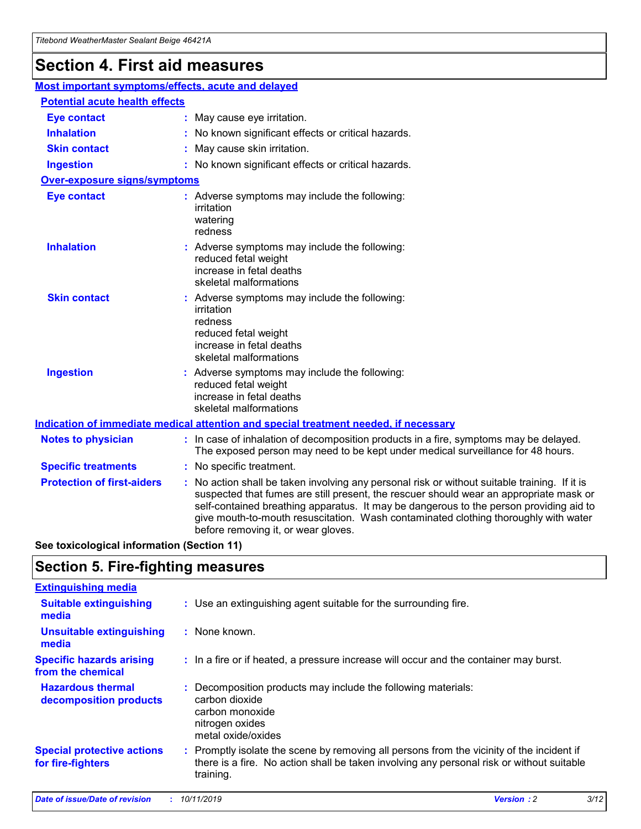## **Section 4. First aid measures**

| Most important symptoms/effects, acute and delayed |  |                                                                                                                                                                                                                                                                                                                                                                                                                 |
|----------------------------------------------------|--|-----------------------------------------------------------------------------------------------------------------------------------------------------------------------------------------------------------------------------------------------------------------------------------------------------------------------------------------------------------------------------------------------------------------|
| <b>Potential acute health effects</b>              |  |                                                                                                                                                                                                                                                                                                                                                                                                                 |
| <b>Eye contact</b>                                 |  | : May cause eye irritation.                                                                                                                                                                                                                                                                                                                                                                                     |
| <b>Inhalation</b>                                  |  | : No known significant effects or critical hazards.                                                                                                                                                                                                                                                                                                                                                             |
| <b>Skin contact</b>                                |  | : May cause skin irritation.                                                                                                                                                                                                                                                                                                                                                                                    |
| <b>Ingestion</b>                                   |  | : No known significant effects or critical hazards.                                                                                                                                                                                                                                                                                                                                                             |
| Over-exposure signs/symptoms                       |  |                                                                                                                                                                                                                                                                                                                                                                                                                 |
| <b>Eye contact</b>                                 |  | : Adverse symptoms may include the following:<br>irritation<br>watering<br>redness                                                                                                                                                                                                                                                                                                                              |
| <b>Inhalation</b>                                  |  | : Adverse symptoms may include the following:<br>reduced fetal weight<br>increase in fetal deaths<br>skeletal malformations                                                                                                                                                                                                                                                                                     |
| <b>Skin contact</b>                                |  | : Adverse symptoms may include the following:<br>irritation<br>redness<br>reduced fetal weight<br>increase in fetal deaths<br>skeletal malformations                                                                                                                                                                                                                                                            |
| <b>Ingestion</b>                                   |  | : Adverse symptoms may include the following:<br>reduced fetal weight<br>increase in fetal deaths<br>skeletal malformations                                                                                                                                                                                                                                                                                     |
|                                                    |  | <b>Indication of immediate medical attention and special treatment needed, if necessary</b>                                                                                                                                                                                                                                                                                                                     |
| <b>Notes to physician</b>                          |  | : In case of inhalation of decomposition products in a fire, symptoms may be delayed.<br>The exposed person may need to be kept under medical surveillance for 48 hours.                                                                                                                                                                                                                                        |
| <b>Specific treatments</b>                         |  | : No specific treatment.                                                                                                                                                                                                                                                                                                                                                                                        |
| <b>Protection of first-aiders</b>                  |  | : No action shall be taken involving any personal risk or without suitable training. If it is<br>suspected that fumes are still present, the rescuer should wear an appropriate mask or<br>self-contained breathing apparatus. It may be dangerous to the person providing aid to<br>give mouth-to-mouth resuscitation. Wash contaminated clothing thoroughly with water<br>before removing it, or wear gloves. |

**See toxicological information (Section 11)**

### **Section 5. Fire-fighting measures**

| <b>Extinguishing media</b>                             |                                                                                                                                                                                                     |
|--------------------------------------------------------|-----------------------------------------------------------------------------------------------------------------------------------------------------------------------------------------------------|
| <b>Suitable extinguishing</b><br>media                 | : Use an extinguishing agent suitable for the surrounding fire.                                                                                                                                     |
| <b>Unsuitable extinguishing</b><br>media               | : None known.                                                                                                                                                                                       |
| <b>Specific hazards arising</b><br>from the chemical   | : In a fire or if heated, a pressure increase will occur and the container may burst.                                                                                                               |
| <b>Hazardous thermal</b><br>decomposition products     | : Decomposition products may include the following materials:<br>carbon dioxide<br>carbon monoxide<br>nitrogen oxides<br>metal oxide/oxides                                                         |
| <b>Special protective actions</b><br>for fire-fighters | : Promptly isolate the scene by removing all persons from the vicinity of the incident if<br>there is a fire. No action shall be taken involving any personal risk or without suitable<br>training. |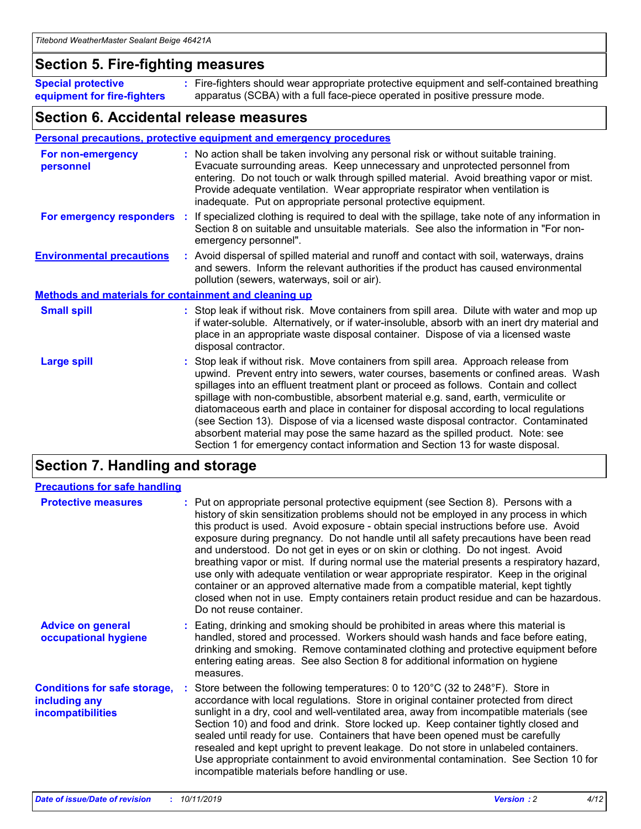### **Section 5. Fire-fighting measures**

**Special protective equipment for fire-fighters** Fire-fighters should wear appropriate protective equipment and self-contained breathing **:** apparatus (SCBA) with a full face-piece operated in positive pressure mode.

### **Section 6. Accidental release measures**

#### **Personal precautions, protective equipment and emergency procedures**

| For non-emergency<br>personnel                               | : No action shall be taken involving any personal risk or without suitable training.<br>Evacuate surrounding areas. Keep unnecessary and unprotected personnel from<br>entering. Do not touch or walk through spilled material. Avoid breathing vapor or mist.<br>Provide adequate ventilation. Wear appropriate respirator when ventilation is<br>inadequate. Put on appropriate personal protective equipment.                                                                                                                                                                                                                                                                                             |
|--------------------------------------------------------------|--------------------------------------------------------------------------------------------------------------------------------------------------------------------------------------------------------------------------------------------------------------------------------------------------------------------------------------------------------------------------------------------------------------------------------------------------------------------------------------------------------------------------------------------------------------------------------------------------------------------------------------------------------------------------------------------------------------|
|                                                              | For emergency responders : If specialized clothing is required to deal with the spillage, take note of any information in<br>Section 8 on suitable and unsuitable materials. See also the information in "For non-<br>emergency personnel".                                                                                                                                                                                                                                                                                                                                                                                                                                                                  |
| <b>Environmental precautions</b>                             | : Avoid dispersal of spilled material and runoff and contact with soil, waterways, drains<br>and sewers. Inform the relevant authorities if the product has caused environmental<br>pollution (sewers, waterways, soil or air).                                                                                                                                                                                                                                                                                                                                                                                                                                                                              |
| <b>Methods and materials for containment and cleaning up</b> |                                                                                                                                                                                                                                                                                                                                                                                                                                                                                                                                                                                                                                                                                                              |
| <b>Small spill</b>                                           | : Stop leak if without risk. Move containers from spill area. Dilute with water and mop up<br>if water-soluble. Alternatively, or if water-insoluble, absorb with an inert dry material and<br>place in an appropriate waste disposal container. Dispose of via a licensed waste<br>disposal contractor.                                                                                                                                                                                                                                                                                                                                                                                                     |
| <b>Large spill</b>                                           | : Stop leak if without risk. Move containers from spill area. Approach release from<br>upwind. Prevent entry into sewers, water courses, basements or confined areas. Wash<br>spillages into an effluent treatment plant or proceed as follows. Contain and collect<br>spillage with non-combustible, absorbent material e.g. sand, earth, vermiculite or<br>diatomaceous earth and place in container for disposal according to local regulations<br>(see Section 13). Dispose of via a licensed waste disposal contractor. Contaminated<br>absorbent material may pose the same hazard as the spilled product. Note: see<br>Section 1 for emergency contact information and Section 13 for waste disposal. |

### **Section 7. Handling and storage**

| <b>Precautions for safe handling</b>                                             |                                                                                                                                                                                                                                                                                                                                                                                                                                                                                                                                                                                                                                                                                                                                                                                                                                                  |
|----------------------------------------------------------------------------------|--------------------------------------------------------------------------------------------------------------------------------------------------------------------------------------------------------------------------------------------------------------------------------------------------------------------------------------------------------------------------------------------------------------------------------------------------------------------------------------------------------------------------------------------------------------------------------------------------------------------------------------------------------------------------------------------------------------------------------------------------------------------------------------------------------------------------------------------------|
| <b>Protective measures</b>                                                       | : Put on appropriate personal protective equipment (see Section 8). Persons with a<br>history of skin sensitization problems should not be employed in any process in which<br>this product is used. Avoid exposure - obtain special instructions before use. Avoid<br>exposure during pregnancy. Do not handle until all safety precautions have been read<br>and understood. Do not get in eyes or on skin or clothing. Do not ingest. Avoid<br>breathing vapor or mist. If during normal use the material presents a respiratory hazard,<br>use only with adequate ventilation or wear appropriate respirator. Keep in the original<br>container or an approved alternative made from a compatible material, kept tightly<br>closed when not in use. Empty containers retain product residue and can be hazardous.<br>Do not reuse container. |
| <b>Advice on general</b><br>occupational hygiene                                 | : Eating, drinking and smoking should be prohibited in areas where this material is<br>handled, stored and processed. Workers should wash hands and face before eating,<br>drinking and smoking. Remove contaminated clothing and protective equipment before<br>entering eating areas. See also Section 8 for additional information on hygiene<br>measures.                                                                                                                                                                                                                                                                                                                                                                                                                                                                                    |
| <b>Conditions for safe storage,</b><br>including any<br><b>incompatibilities</b> | : Store between the following temperatures: 0 to 120 $\degree$ C (32 to 248 $\degree$ F). Store in<br>accordance with local regulations. Store in original container protected from direct<br>sunlight in a dry, cool and well-ventilated area, away from incompatible materials (see<br>Section 10) and food and drink. Store locked up. Keep container tightly closed and<br>sealed until ready for use. Containers that have been opened must be carefully<br>resealed and kept upright to prevent leakage. Do not store in unlabeled containers.<br>Use appropriate containment to avoid environmental contamination. See Section 10 for<br>incompatible materials before handling or use.                                                                                                                                                   |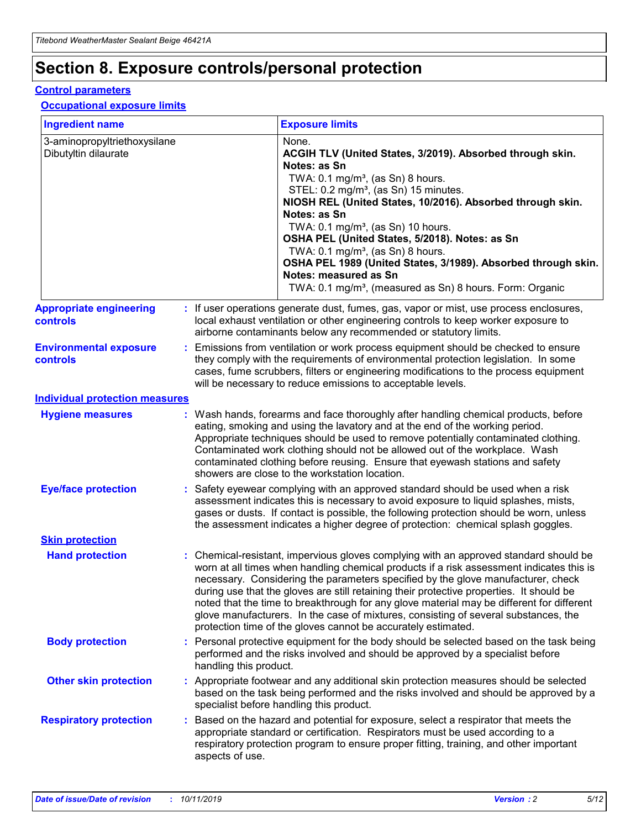## **Section 8. Exposure controls/personal protection**

#### **Control parameters**

#### **Occupational exposure limits**

| <b>Ingredient name</b>                               |    |                                          | <b>Exposure limits</b>                                                                                                                                                                                                                                                                                                                                                                                                                                                                                                                                                                                                 |
|------------------------------------------------------|----|------------------------------------------|------------------------------------------------------------------------------------------------------------------------------------------------------------------------------------------------------------------------------------------------------------------------------------------------------------------------------------------------------------------------------------------------------------------------------------------------------------------------------------------------------------------------------------------------------------------------------------------------------------------------|
| 3-aminopropyltriethoxysilane<br>Dibutyltin dilaurate |    |                                          | None.<br>ACGIH TLV (United States, 3/2019). Absorbed through skin.<br>Notes: as Sn<br>TWA: 0.1 mg/m <sup>3</sup> , (as Sn) 8 hours.<br>STEL: 0.2 mg/m <sup>3</sup> , (as Sn) 15 minutes.<br>NIOSH REL (United States, 10/2016). Absorbed through skin.<br>Notes: as Sn<br>TWA: 0.1 mg/m <sup>3</sup> , (as Sn) 10 hours.<br>OSHA PEL (United States, 5/2018). Notes: as Sn<br>TWA: $0.1 \text{ mg/m}^3$ , (as Sn) 8 hours.<br>OSHA PEL 1989 (United States, 3/1989). Absorbed through skin.<br>Notes: measured as Sn<br>TWA: 0.1 mg/m <sup>3</sup> , (measured as Sn) 8 hours. Form: Organic                           |
| <b>Appropriate engineering</b><br>controls           |    |                                          | : If user operations generate dust, fumes, gas, vapor or mist, use process enclosures,<br>local exhaust ventilation or other engineering controls to keep worker exposure to<br>airborne contaminants below any recommended or statutory limits.                                                                                                                                                                                                                                                                                                                                                                       |
| <b>Environmental exposure</b><br><b>controls</b>     |    |                                          | Emissions from ventilation or work process equipment should be checked to ensure<br>they comply with the requirements of environmental protection legislation. In some<br>cases, fume scrubbers, filters or engineering modifications to the process equipment<br>will be necessary to reduce emissions to acceptable levels.                                                                                                                                                                                                                                                                                          |
| <b>Individual protection measures</b>                |    |                                          |                                                                                                                                                                                                                                                                                                                                                                                                                                                                                                                                                                                                                        |
| <b>Hygiene measures</b>                              |    |                                          | : Wash hands, forearms and face thoroughly after handling chemical products, before<br>eating, smoking and using the lavatory and at the end of the working period.<br>Appropriate techniques should be used to remove potentially contaminated clothing.<br>Contaminated work clothing should not be allowed out of the workplace. Wash<br>contaminated clothing before reusing. Ensure that eyewash stations and safety<br>showers are close to the workstation location.                                                                                                                                            |
| <b>Eye/face protection</b>                           |    |                                          | : Safety eyewear complying with an approved standard should be used when a risk<br>assessment indicates this is necessary to avoid exposure to liquid splashes, mists,<br>gases or dusts. If contact is possible, the following protection should be worn, unless<br>the assessment indicates a higher degree of protection: chemical splash goggles.                                                                                                                                                                                                                                                                  |
| <b>Skin protection</b>                               |    |                                          |                                                                                                                                                                                                                                                                                                                                                                                                                                                                                                                                                                                                                        |
| <b>Hand protection</b>                               |    |                                          | : Chemical-resistant, impervious gloves complying with an approved standard should be<br>worn at all times when handling chemical products if a risk assessment indicates this is<br>necessary. Considering the parameters specified by the glove manufacturer, check<br>during use that the gloves are still retaining their protective properties. It should be<br>noted that the time to breakthrough for any glove material may be different for different<br>glove manufacturers. In the case of mixtures, consisting of several substances, the<br>protection time of the gloves cannot be accurately estimated. |
| <b>Body protection</b>                               |    | handling this product.                   | Personal protective equipment for the body should be selected based on the task being<br>performed and the risks involved and should be approved by a specialist before                                                                                                                                                                                                                                                                                                                                                                                                                                                |
| <b>Other skin protection</b>                         |    | specialist before handling this product. | : Appropriate footwear and any additional skin protection measures should be selected<br>based on the task being performed and the risks involved and should be approved by a                                                                                                                                                                                                                                                                                                                                                                                                                                          |
| <b>Respiratory protection</b>                        | ÷. | aspects of use.                          | Based on the hazard and potential for exposure, select a respirator that meets the<br>appropriate standard or certification. Respirators must be used according to a<br>respiratory protection program to ensure proper fitting, training, and other important                                                                                                                                                                                                                                                                                                                                                         |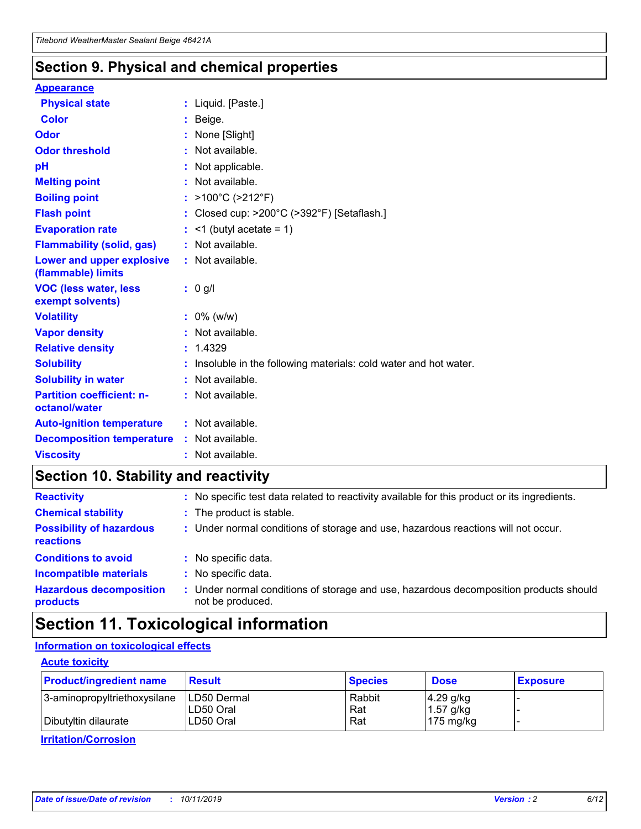### **Section 9. Physical and chemical properties**

#### **Appearance**

| <b>Physical state</b>                                  | : Liquid. [Paste.]                                              |
|--------------------------------------------------------|-----------------------------------------------------------------|
| <b>Color</b>                                           | Beige.                                                          |
| Odor                                                   | None [Slight]                                                   |
| <b>Odor threshold</b>                                  | $:$ Not available.                                              |
| рH                                                     | : Not applicable.                                               |
| <b>Melting point</b>                                   | : Not available.                                                |
| <b>Boiling point</b>                                   | : >100°C (>212°F)                                               |
| <b>Flash point</b>                                     | : Closed cup: >200°C (>392°F) [Setaflash.]                      |
| <b>Evaporation rate</b>                                | $:$ <1 (butyl acetate = 1)                                      |
| <b>Flammability (solid, gas)</b>                       | : Not available.                                                |
| <b>Lower and upper explosive</b><br>(flammable) limits | : Not available.                                                |
| <b>VOC (less water, less</b><br>exempt solvents)       | $: 0$ g/l                                                       |
| <b>Volatility</b>                                      | $: 0\%$ (w/w)                                                   |
| <b>Vapor density</b>                                   | : Not available.                                                |
| <b>Relative density</b>                                | : 1.4329                                                        |
| <b>Solubility</b>                                      | Insoluble in the following materials: cold water and hot water. |
| <b>Solubility in water</b>                             | : Not available.                                                |
| <b>Partition coefficient: n-</b><br>octanol/water      | : Not available.                                                |
|                                                        |                                                                 |
| <b>Auto-ignition temperature</b>                       | : Not available.                                                |
| <b>Decomposition temperature</b>                       | : Not available.                                                |

### **Section 10. Stability and reactivity**

| <b>Reactivity</b>                            |    | : No specific test data related to reactivity available for this product or its ingredients.            |
|----------------------------------------------|----|---------------------------------------------------------------------------------------------------------|
| <b>Chemical stability</b>                    |    | : The product is stable.                                                                                |
| <b>Possibility of hazardous</b><br>reactions |    | : Under normal conditions of storage and use, hazardous reactions will not occur.                       |
| <b>Conditions to avoid</b>                   |    | : No specific data.                                                                                     |
| <b>Incompatible materials</b>                | ٠. | No specific data.                                                                                       |
| <b>Hazardous decomposition</b><br>products   | ÷. | Under normal conditions of storage and use, hazardous decomposition products should<br>not be produced. |

### **Section 11. Toxicological information**

### **Information on toxicological effects**

#### **Acute toxicity**

| <b>Product/ingredient name</b> | <b>Result</b>           | <b>Species</b> | <b>Dose</b>                | <b>Exposure</b> |
|--------------------------------|-------------------------|----------------|----------------------------|-----------------|
| 3-aminopropyltriethoxysilane   | <b>ILD50 Dermal</b>     | Rabbit         | 4.29 g/kg                  |                 |
| Dibutyltin dilaurate           | ILD50 Oral<br>LD50 Oral | Rat<br>Rat     | $1.57$ g/kg<br>175 $mg/kg$ |                 |
|                                |                         |                |                            |                 |

**Irritation/Corrosion**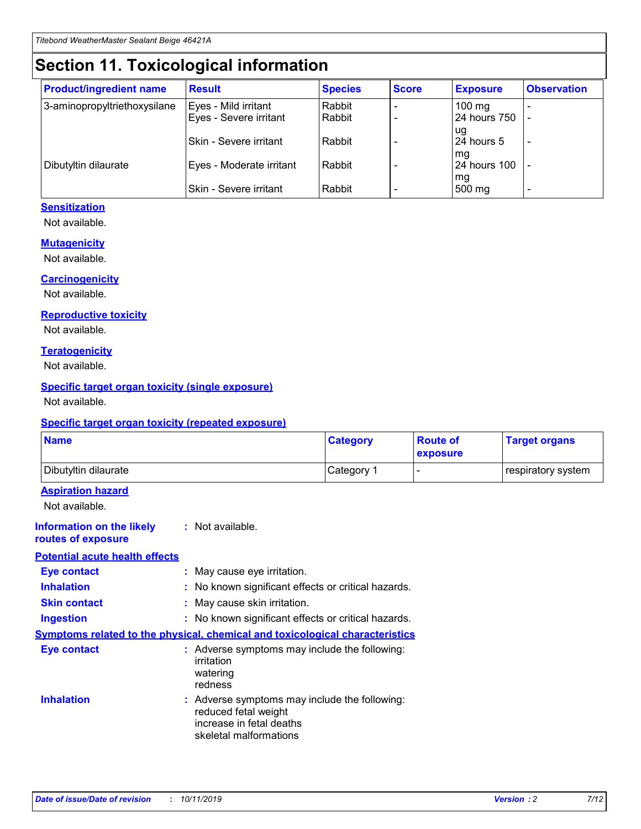## **Section 11. Toxicological information**

| <b>Product/ingredient name</b> | <b>Result</b>            | <b>Species</b> | <b>Score</b> | <b>Exposure</b>     | <b>Observation</b> |
|--------------------------------|--------------------------|----------------|--------------|---------------------|--------------------|
| 3-aminopropyltriethoxysilane   | Eyes - Mild irritant     | Rabbit         |              | $100 \text{ mg}$    |                    |
|                                | Eyes - Severe irritant   | Rabbit         |              | 24 hours 750        |                    |
|                                |                          |                |              | ug                  |                    |
|                                | Skin - Severe irritant   | Rabbit         |              | 24 hours 5          |                    |
|                                |                          |                |              | mq                  |                    |
| Dibutyltin dilaurate           | Eyes - Moderate irritant | Rabbit         |              | <b>24 hours 100</b> |                    |
|                                | Skin - Severe irritant   | Rabbit         |              | mg<br>500 mg        |                    |
|                                |                          |                |              |                     |                    |

### **Sensitization**

Not available.

#### **Mutagenicity**

Not available.

#### **Carcinogenicity**

Not available.

#### **Reproductive toxicity**

Not available.

#### **Teratogenicity**

Not available.

#### **Specific target organ toxicity (single exposure)**

Not available.

#### **Specific target organ toxicity (repeated exposure)**

| <b>Name</b>                                                                  |                                                                            | <b>Category</b>                                     | <b>Route of</b><br>exposure | <b>Target organs</b> |
|------------------------------------------------------------------------------|----------------------------------------------------------------------------|-----------------------------------------------------|-----------------------------|----------------------|
| Dibutyltin dilaurate                                                         |                                                                            | Category 1                                          | -                           | respiratory system   |
| <b>Aspiration hazard</b><br>Not available.                                   |                                                                            |                                                     |                             |                      |
| <b>Information on the likely</b><br>routes of exposure                       | : Not available.                                                           |                                                     |                             |                      |
| <b>Potential acute health effects</b>                                        |                                                                            |                                                     |                             |                      |
| <b>Eye contact</b>                                                           | : May cause eye irritation.                                                |                                                     |                             |                      |
| <b>Inhalation</b>                                                            |                                                                            | : No known significant effects or critical hazards. |                             |                      |
| <b>Skin contact</b>                                                          | : May cause skin irritation.                                               |                                                     |                             |                      |
| <b>Ingestion</b>                                                             |                                                                            | : No known significant effects or critical hazards. |                             |                      |
| Symptoms related to the physical, chemical and toxicological characteristics |                                                                            |                                                     |                             |                      |
| <b>Eye contact</b>                                                           | irritation<br>watering<br>redness                                          | : Adverse symptoms may include the following:       |                             |                      |
| <b>Inhalation</b>                                                            | reduced fetal weight<br>increase in fetal deaths<br>skeletal malformations | : Adverse symptoms may include the following:       |                             |                      |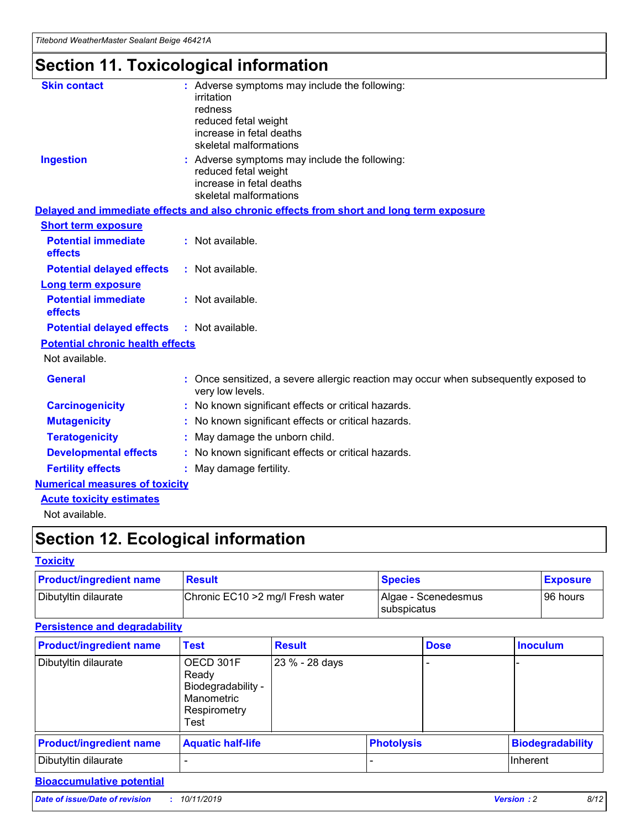## **Section 11. Toxicological information**

| <b>Skin contact</b>                     | : Adverse symptoms may include the following:<br>irritation<br>redness<br>reduced fetal weight<br>increase in fetal deaths<br>skeletal malformations |
|-----------------------------------------|------------------------------------------------------------------------------------------------------------------------------------------------------|
| <b>Ingestion</b>                        | : Adverse symptoms may include the following:<br>reduced fetal weight<br>increase in fetal deaths<br>skeletal malformations                          |
|                                         | Delayed and immediate effects and also chronic effects from short and long term exposure                                                             |
| <b>Short term exposure</b>              |                                                                                                                                                      |
| <b>Potential immediate</b><br>effects   | : Not available.                                                                                                                                     |
| <b>Potential delayed effects</b>        | : Not available.                                                                                                                                     |
| <b>Long term exposure</b>               |                                                                                                                                                      |
| <b>Potential immediate</b><br>effects   | : Not available.                                                                                                                                     |
| <b>Potential delayed effects</b>        | : Not available.                                                                                                                                     |
| <b>Potential chronic health effects</b> |                                                                                                                                                      |
| Not available.                          |                                                                                                                                                      |
| <b>General</b>                          | : Once sensitized, a severe allergic reaction may occur when subsequently exposed to<br>very low levels.                                             |
| <b>Carcinogenicity</b>                  | : No known significant effects or critical hazards.                                                                                                  |
| <b>Mutagenicity</b>                     | No known significant effects or critical hazards.                                                                                                    |
| <b>Teratogenicity</b>                   | May damage the unborn child.                                                                                                                         |
| <b>Developmental effects</b>            | No known significant effects or critical hazards.                                                                                                    |
| <b>Fertility effects</b>                | : May damage fertility.                                                                                                                              |
| <b>Numerical measures of toxicity</b>   |                                                                                                                                                      |
| <b>Acute toxicity estimates</b>         |                                                                                                                                                      |
|                                         |                                                                                                                                                      |

Not available.

## **Section 12. Ecological information**

#### **Toxicity**

| <b>Product/ingredient name</b> | <b>Result</b>                     | <b>Species</b>                       | <b>Exposure</b> |
|--------------------------------|-----------------------------------|--------------------------------------|-----------------|
| Dibutyltin dilaurate           | Chronic EC10 > 2 mg/l Fresh water | Algae - Scenedesmus<br>I subspicatus | l 96 hours i    |

### **Persistence and degradability**

| <b>Product/ingredient name</b> | <b>Test</b>                                                                    | <b>Result</b>  |                   | <b>Dose</b> | <b>Inoculum</b>         |
|--------------------------------|--------------------------------------------------------------------------------|----------------|-------------------|-------------|-------------------------|
| Dibutyltin dilaurate           | OECD 301F<br>Ready<br>Biodegradability -<br>Manometric<br>Respirometry<br>Test | 23 % - 28 days |                   |             |                         |
| <b>Product/ingredient name</b> | <b>Aquatic half-life</b>                                                       |                | <b>Photolysis</b> |             | <b>Biodegradability</b> |
| Dibutyltin dilaurate           |                                                                                |                |                   |             | Inherent                |

### **Bioaccumulative potential**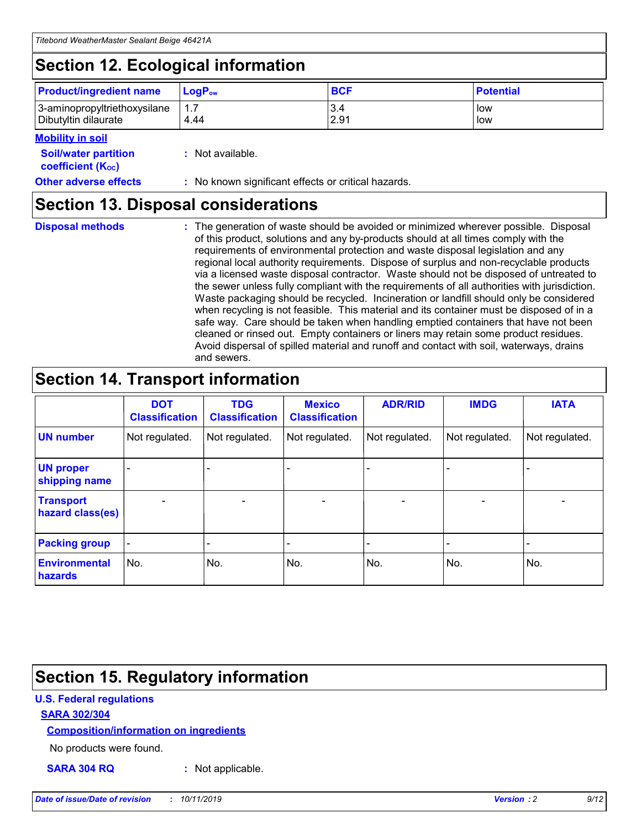## **Section 12. Ecological information**

| <b>Product/ingredient name</b> | $LoaPow$ | <b>BCF</b> | <b>Potential</b> |
|--------------------------------|----------|------------|------------------|
| 3-aminopropyltriethoxysilane   | 1.7      | 3.4        | low              |
| Dibutyltin dilaurate           | 4.44     | 2.91       | low              |

#### **Mobility in soil**

| <i></i>                                                       |                                                     |
|---------------------------------------------------------------|-----------------------------------------------------|
| <b>Soil/water partition</b><br>coefficient (K <sub>oc</sub> ) | : Not available.                                    |
| <b>Other adverse effects</b>                                  | : No known significant effects or critical hazards. |

### **Section 13. Disposal considerations**

**Disposal methods :**

The generation of waste should be avoided or minimized wherever possible. Disposal of this product, solutions and any by-products should at all times comply with the requirements of environmental protection and waste disposal legislation and any regional local authority requirements. Dispose of surplus and non-recyclable products via a licensed waste disposal contractor. Waste should not be disposed of untreated to the sewer unless fully compliant with the requirements of all authorities with jurisdiction. Waste packaging should be recycled. Incineration or landfill should only be considered when recycling is not feasible. This material and its container must be disposed of in a safe way. Care should be taken when handling emptied containers that have not been cleaned or rinsed out. Empty containers or liners may retain some product residues. Avoid dispersal of spilled material and runoff and contact with soil, waterways, drains and sewers.

## **Section 14. Transport information**

|                                      | <b>DOT</b><br><b>Classification</b> | <b>TDG</b><br><b>Classification</b> | <b>Mexico</b><br><b>Classification</b> | <b>ADR/RID</b> | <b>IMDG</b>              | <b>IATA</b>              |
|--------------------------------------|-------------------------------------|-------------------------------------|----------------------------------------|----------------|--------------------------|--------------------------|
| <b>UN number</b>                     | Not regulated.                      | Not regulated.                      | Not regulated.                         | Not regulated. | Not regulated.           | Not regulated.           |
| <b>UN proper</b><br>shipping name    | $\blacksquare$                      |                                     |                                        |                |                          |                          |
| <b>Transport</b><br>hazard class(es) | $\blacksquare$                      | $\overline{\phantom{a}}$            | $\blacksquare$                         | $\blacksquare$ | $\overline{\phantom{a}}$ | $\overline{\phantom{0}}$ |
| <b>Packing group</b>                 | $\overline{\phantom{a}}$            | $\overline{\phantom{0}}$            | $\overline{\phantom{a}}$               | -              | $\overline{\phantom{0}}$ | $\overline{\phantom{a}}$ |
| <b>Environmental</b><br>hazards      | No.                                 | No.                                 | No.                                    | No.            | No.                      | No.                      |

## **Section 15. Regulatory information**

#### **U.S. Federal regulations**

#### **SARA 302/304**

#### **Composition/information on ingredients**

No products were found.

**SARA 304 RQ :** Not applicable.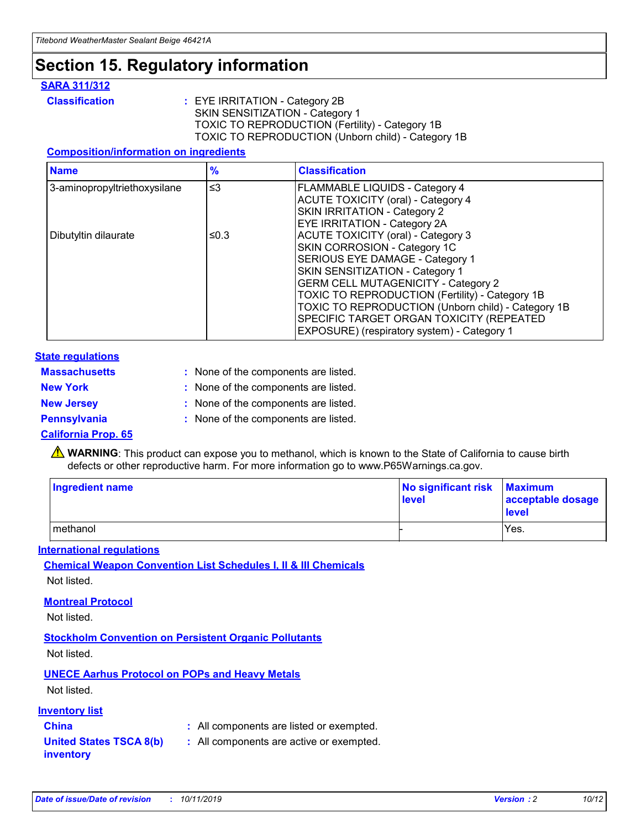### **Section 15. Regulatory information**

#### **SARA 311/312**

**Classification :** EYE IRRITATION - Category 2B SKIN SENSITIZATION - Category 1 TOXIC TO REPRODUCTION (Fertility) - Category 1B TOXIC TO REPRODUCTION (Unborn child) - Category 1B

#### **Composition/information on ingredients**

| <b>Name</b>                  | $\frac{9}{6}$ | <b>Classification</b>                                                                                            |
|------------------------------|---------------|------------------------------------------------------------------------------------------------------------------|
| 3-aminopropyltriethoxysilane | $\leq$ 3      | <b>FLAMMABLE LIQUIDS - Category 4</b><br><b>ACUTE TOXICITY (oral) - Category 4</b>                               |
|                              |               | SKIN IRRITATION - Category 2<br>EYE IRRITATION - Category 2A                                                     |
| Dibutyltin dilaurate         | ≤0.3          | ACUTE TOXICITY (oral) - Category 3<br>SKIN CORROSION - Category 1C                                               |
|                              |               | SERIOUS EYE DAMAGE - Category 1<br>SKIN SENSITIZATION - Category 1<br><b>GERM CELL MUTAGENICITY - Category 2</b> |
|                              |               | TOXIC TO REPRODUCTION (Fertility) - Category 1B<br>TOXIC TO REPRODUCTION (Unborn child) - Category 1B            |
|                              |               | SPECIFIC TARGET ORGAN TOXICITY (REPEATED<br>EXPOSURE) (respiratory system) - Category 1                          |

#### **State regulations**

| <b>Massachusetts</b> | : None of the components are listed. |
|----------------------|--------------------------------------|
| <b>New York</b>      | : None of the components are listed. |
| <b>New Jersey</b>    | : None of the components are listed. |
| <b>Pennsylvania</b>  | : None of the components are listed. |

#### **California Prop. 65**

**A** WARNING: This product can expose you to methanol, which is known to the State of California to cause birth defects or other reproductive harm. For more information go to www.P65Warnings.ca.gov.

| <b>Ingredient name</b> | No significant risk Maximum<br>level | acceptable dosage<br>level |
|------------------------|--------------------------------------|----------------------------|
| methanol               |                                      | Yes.                       |

#### **International regulations**

**Chemical Weapon Convention List Schedules I, II & III Chemicals** Not listed.

#### **Montreal Protocol**

Not listed.

#### **Stockholm Convention on Persistent Organic Pollutants**

Not listed.

### **UNECE Aarhus Protocol on POPs and Heavy Metals**

Not listed.

#### **Inventory list**

### **China :** All components are listed or exempted.

#### **United States TSCA 8(b) inventory :** All components are active or exempted.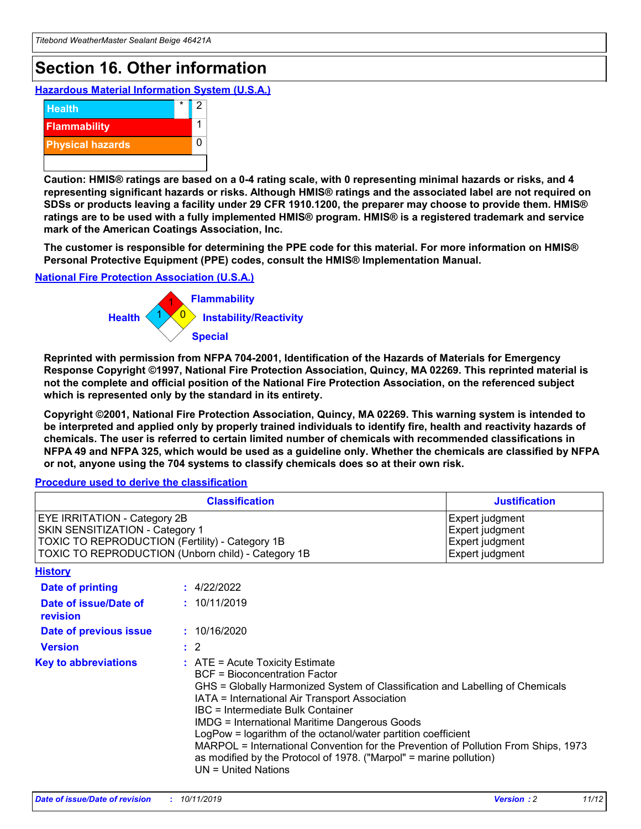## **Section 16. Other information**

**Hazardous Material Information System (U.S.A.)**



**Caution: HMIS® ratings are based on a 0-4 rating scale, with 0 representing minimal hazards or risks, and 4 representing significant hazards or risks. Although HMIS® ratings and the associated label are not required on SDSs or products leaving a facility under 29 CFR 1910.1200, the preparer may choose to provide them. HMIS® ratings are to be used with a fully implemented HMIS® program. HMIS® is a registered trademark and service mark of the American Coatings Association, Inc.**

**The customer is responsible for determining the PPE code for this material. For more information on HMIS® Personal Protective Equipment (PPE) codes, consult the HMIS® Implementation Manual.**

#### **National Fire Protection Association (U.S.A.)**



**Reprinted with permission from NFPA 704-2001, Identification of the Hazards of Materials for Emergency Response Copyright ©1997, National Fire Protection Association, Quincy, MA 02269. This reprinted material is not the complete and official position of the National Fire Protection Association, on the referenced subject which is represented only by the standard in its entirety.**

**Copyright ©2001, National Fire Protection Association, Quincy, MA 02269. This warning system is intended to be interpreted and applied only by properly trained individuals to identify fire, health and reactivity hazards of chemicals. The user is referred to certain limited number of chemicals with recommended classifications in NFPA 49 and NFPA 325, which would be used as a guideline only. Whether the chemicals are classified by NFPA or not, anyone using the 704 systems to classify chemicals does so at their own risk.**

**Procedure used to derive the classification**

| <b>Classification</b>                                                                                                                                                    |                                                                                                                                                                                                           | <b>Justification</b>                                                                                                                                                                                                                                                                                                                                               |  |
|--------------------------------------------------------------------------------------------------------------------------------------------------------------------------|-----------------------------------------------------------------------------------------------------------------------------------------------------------------------------------------------------------|--------------------------------------------------------------------------------------------------------------------------------------------------------------------------------------------------------------------------------------------------------------------------------------------------------------------------------------------------------------------|--|
| EYE IRRITATION - Category 2B<br>SKIN SENSITIZATION - Category 1<br>TOXIC TO REPRODUCTION (Fertility) - Category 1B<br>TOXIC TO REPRODUCTION (Unborn child) - Category 1B |                                                                                                                                                                                                           | Expert judgment<br>Expert judgment<br>Expert judgment<br>Expert judgment                                                                                                                                                                                                                                                                                           |  |
| <b>History</b>                                                                                                                                                           |                                                                                                                                                                                                           |                                                                                                                                                                                                                                                                                                                                                                    |  |
| Date of printing                                                                                                                                                         | : 4/22/2022                                                                                                                                                                                               |                                                                                                                                                                                                                                                                                                                                                                    |  |
| Date of issue/Date of<br>revision                                                                                                                                        | : 10/11/2019                                                                                                                                                                                              |                                                                                                                                                                                                                                                                                                                                                                    |  |
| Date of previous issue                                                                                                                                                   | : 10/16/2020                                                                                                                                                                                              |                                                                                                                                                                                                                                                                                                                                                                    |  |
| <b>Version</b>                                                                                                                                                           | $\therefore$ 2                                                                                                                                                                                            |                                                                                                                                                                                                                                                                                                                                                                    |  |
| <b>Key to abbreviations</b>                                                                                                                                              | $\therefore$ ATE = Acute Toxicity Estimate<br><b>BCF</b> = Bioconcentration Factor<br>IATA = International Air Transport Association<br><b>IBC</b> = Intermediate Bulk Container<br>$UN = United Nations$ | GHS = Globally Harmonized System of Classification and Labelling of Chemicals<br><b>IMDG = International Maritime Dangerous Goods</b><br>LogPow = logarithm of the octanol/water partition coefficient<br>MARPOL = International Convention for the Prevention of Pollution From Ships, 1973<br>as modified by the Protocol of 1978. ("Marpol" = marine pollution) |  |